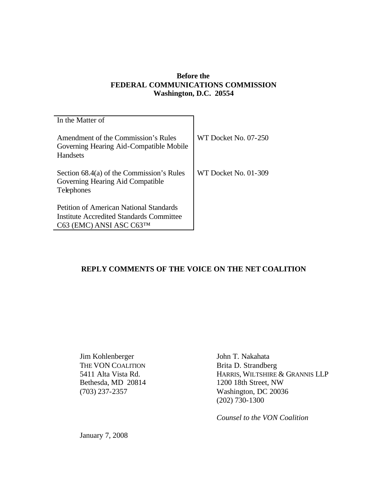## **Before the FEDERAL COMMUNICATIONS COMMISSION Washington, D.C. 20554**

| In the Matter of                                                                                                       |                      |
|------------------------------------------------------------------------------------------------------------------------|----------------------|
| Amendment of the Commission's Rules<br>Governing Hearing Aid-Compatible Mobile<br>Handsets                             | WT Docket No. 07-250 |
| Section 68.4(a) of the Commission's Rules<br>Governing Hearing Aid Compatible<br><b>Telephones</b>                     | WT Docket No. 01-309 |
| <b>Petition of American National Standards</b><br>Institute Accredited Standards Committee<br>C63 (EMC) ANSI ASC C63TM |                      |

# **REPLY COMMENTS OF THE VOICE ON THE NET COALITION**

Jim Kohlenberger John T. Nakahata THE VON COALITION Brita D. Strandberg

5411 Alta Vista Rd. HARRIS, WILTSHIRE & GRANNIS LLP Bethesda, MD 20814 1200 18th Street, NW<br>
(703) 237-2357 Washington, DC 2003 Washington, DC 20036 (202) 730-1300

*Counsel to the VON Coalition*

January 7, 2008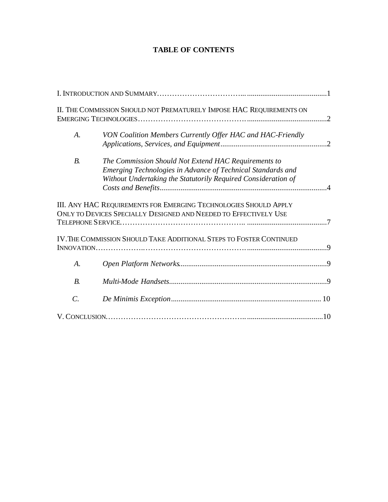# **TABLE OF CONTENTS**

|                    | II. THE COMMISSION SHOULD NOT PREMATURELY IMPOSE HAC REQUIREMENTS ON                                                                                                                 |  |
|--------------------|--------------------------------------------------------------------------------------------------------------------------------------------------------------------------------------|--|
| $\boldsymbol{A}$ . | VON Coalition Members Currently Offer HAC and HAC-Friendly                                                                                                                           |  |
| <i>B</i> .         | The Commission Should Not Extend HAC Requirements to<br>Emerging Technologies in Advance of Technical Standards and<br>Without Undertaking the Statutorily Required Consideration of |  |
|                    | III. ANY HAC REQUIREMENTS FOR EMERGING TECHNOLOGIES SHOULD APPLY<br>ONLY TO DEVICES SPECIALLY DESIGNED AND NEEDED TO EFFECTIVELY USE                                                 |  |
|                    | IV. THE COMMISSION SHOULD TAKE ADDITIONAL STEPS TO FOSTER CONTINUED                                                                                                                  |  |
| A.                 |                                                                                                                                                                                      |  |
| $B$ .              |                                                                                                                                                                                      |  |
| $\mathcal{C}$ .    |                                                                                                                                                                                      |  |
|                    |                                                                                                                                                                                      |  |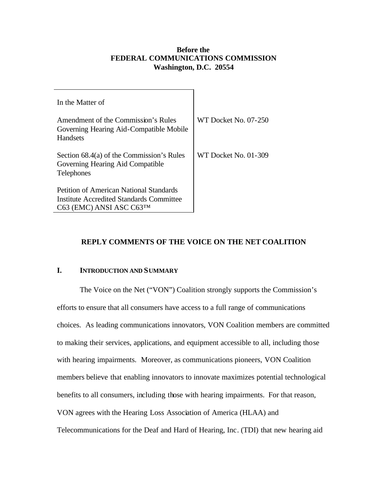### **Before the FEDERAL COMMUNICATIONS COMMISSION Washington, D.C. 20554**

| In the Matter of                                                                                                       |                      |
|------------------------------------------------------------------------------------------------------------------------|----------------------|
| Amendment of the Commission's Rules<br>Governing Hearing Aid-Compatible Mobile<br>Handsets                             | WT Docket No. 07-250 |
| Section 68.4(a) of the Commission's Rules<br>Governing Hearing Aid Compatible<br><b>Telephones</b>                     | WT Docket No. 01-309 |
| <b>Petition of American National Standards</b><br>Institute Accredited Standards Committee<br>C63 (EMC) ANSI ASC C63TM |                      |

# **REPLY COMMENTS OF THE VOICE ON THE NET COALITION**

### **I. INTRODUCTION AND SUMMARY**

The Voice on the Net ("VON") Coalition strongly supports the Commission's efforts to ensure that all consumers have access to a full range of communications choices. As leading communications innovators, VON Coalition members are committed to making their services, applications, and equipment accessible to all, including those with hearing impairments. Moreover, as communications pioneers, VON Coalition members believe that enabling innovators to innovate maximizes potential technological benefits to all consumers, including those with hearing impairments. For that reason, VON agrees with the Hearing Loss Association of America (HLAA) and Telecommunications for the Deaf and Hard of Hearing, Inc. (TDI) that new hearing aid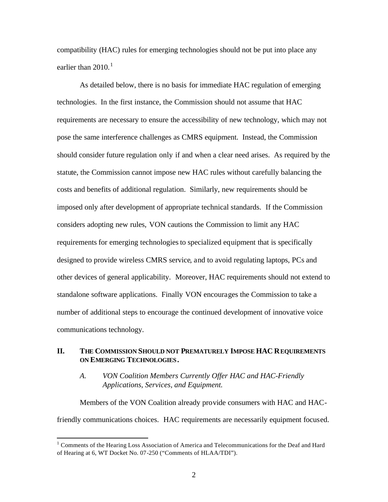compatibility (HAC) rules for emerging technologies should not be put into place any earlier than 2010.<sup>1</sup>

As detailed below, there is no basis for immediate HAC regulation of emerging technologies. In the first instance, the Commission should not assume that HAC requirements are necessary to ensure the accessibility of new technology, which may not pose the same interference challenges as CMRS equipment. Instead, the Commission should consider future regulation only if and when a clear need arises. As required by the statute, the Commission cannot impose new HAC rules without carefully balancing the costs and benefits of additional regulation. Similarly, new requirements should be imposed only after development of appropriate technical standards. If the Commission considers adopting new rules, VON cautions the Commission to limit any HAC requirements for emerging technologies to specialized equipment that is specifically designed to provide wireless CMRS service, and to avoid regulating laptops, PCs and other devices of general applicability. Moreover, HAC requirements should not extend to standalone software applications. Finally VON encourages the Commission to take a number of additional steps to encourage the continued development of innovative voice communications technology.

### **II. THE COMMISSION SHOULD NOT PREMATURELY IMPOSE HAC REQUIREMENTS ON EMERGING TECHNOLOGIES.**

## *A. VON Coalition Members Currently Offer HAC and HAC-Friendly Applications, Services, and Equipment.*

Members of the VON Coalition already provide consumers with HAC and HACfriendly communications choices. HAC requirements are necessarily equipment focused.

<sup>&</sup>lt;sup>1</sup> Comments of the Hearing Loss Association of America and Telecommunications for the Deaf and Hard of Hearing at 6, WT Docket No. 07-250 ("Comments of HLAA/TDI").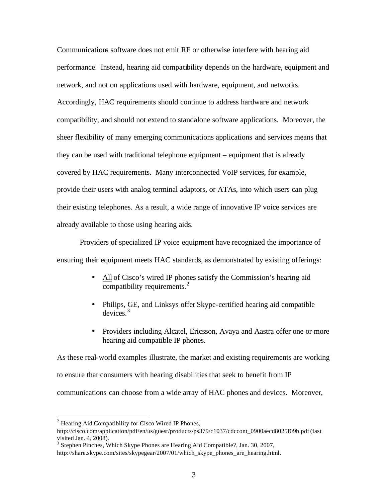Communications software does not emit RF or otherwise interfere with hearing aid performance. Instead, hearing aid compatibility depends on the hardware, equipment and network, and not on applications used with hardware, equipment, and networks. Accordingly, HAC requirements should continue to address hardware and network compatibility, and should not extend to standalone software applications. Moreover, the sheer flexibility of many emerging communications applications and services means that they can be used with traditional telephone equipment – equipment that is already covered by HAC requirements. Many interconnected VoIP services, for example, provide their users with analog terminal adaptors, or ATAs, into which users can plug their existing telephones. As a result, a wide range of innovative IP voice services are already available to those using hearing aids.

Providers of specialized IP voice equipment have recognized the importance of ensuring their equipment meets HAC standards, as demonstrated by existing offerings:

- All of Cisco's wired IP phones satisfy the Commission's hearing aid compatibility requirements. $^{2}$
- Philips, GE, and Linksys offer Skype-certified hearing aid compatible devices. 3
- Providers including Alcatel, Ericsson, Avaya and Aastra offer one or more hearing aid compatible IP phones.

As these real-world examples illustrate, the market and existing requirements are working to ensure that consumers with hearing disabilities that seek to benefit from IP communications can choose from a wide array of HAC phones and devices. Moreover,

 $2$  Hearing Aid Compatibility for Cisco Wired IP Phones,

http://cisco.com/application/pdf/en/us/guest/products/ps379/c1037/cdccont\_0900aecd8025f09b.pdf(last visited Jan. 4, 2008).

<sup>&</sup>lt;sup>3</sup> Stephen Pinches, Which Skype Phones are Hearing Aid Compatible?, Jan. 30, 2007,

http://share.skype.com/sites/skypegear/2007/01/which\_skype\_phones\_are\_hearing.html.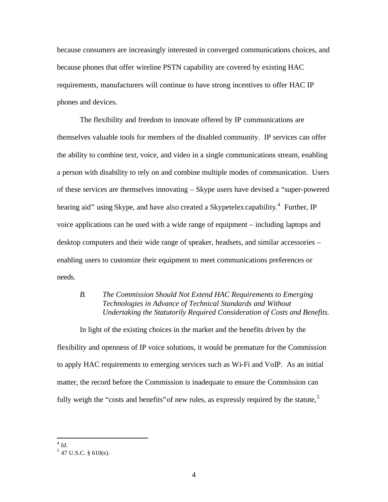because consumers are increasingly interested in converged communications choices, and because phones that offer wireline PSTN capability are covered by existing HAC requirements, manufacturers will continue to have strong incentives to offer HAC IP phones and devices.

The flexibility and freedom to innovate offered by IP communications are themselves valuable tools for members of the disabled community. IP services can offer the ability to combine text, voice, and video in a single communications stream, enabling a person with disability to rely on and combine multiple modes of communication. Users of these services are themselves innovating – Skype users have devised a "super-powered hearing aid" using Skype, and have also created a Skypetelex capability.<sup>4</sup> Further, IP voice applications can be used with a wide range of equipment – including laptops and desktop computers and their wide range of speaker, headsets, and similar accessories – enabling users to customize their equipment to meet communications preferences or needs.

## *B. The Commission Should Not Extend HAC Requirements to Emerging Technologies in Advance of Technical Standards and Without Undertaking the Statutorily Required Consideration of Costs and Benefits.*

In light of the existing choices in the market and the benefits driven by the flexibility and openness of IP voice solutions, it would be premature for the Commission to apply HAC requirements to emerging services such as Wi-Fi and VoIP. As an initial matter, the record before the Commission is inadequate to ensure the Commission can fully weigh the "costs and benefits" of new rules, as expressly required by the statute,  $5$ 

 4 *Id.*

 $5$  47 U.S.C. § 610(e).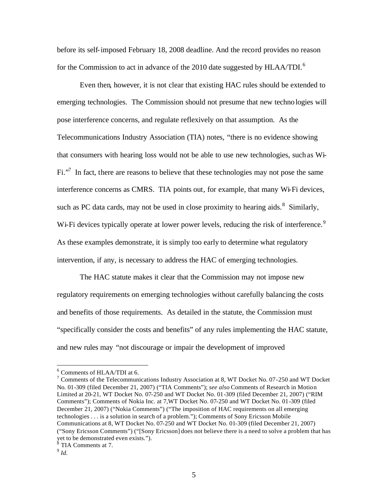before its self-imposed February 18, 2008 deadline. And the record provides no reason for the Commission to act in advance of the 2010 date suggested by HLAA/TDI.<sup>6</sup>

Even then, however, it is not clear that existing HAC rules should be extended to emerging technologies. The Commission should not presume that new technologies will pose interference concerns, and regulate reflexively on that assumption. As the Telecommunications Industry Association (TIA) notes, "there is no evidence showing that consumers with hearing loss would not be able to use new technologies, such as Wi- $Fi.^{37}$  In fact, there are reasons to believe that these technologies may not pose the same interference concerns as CMRS. TIA points out, for example, that many Wi-Fi devices, such as PC data cards, may not be used in close proximity to hearing aids. $8$  Similarly, Wi-Fi devices typically operate at lower power levels, reducing the risk of interference.<sup>9</sup> As these examples demonstrate, it is simply too early to determine what regulatory intervention, if any, is necessary to address the HAC of emerging technologies.

The HAC statute makes it clear that the Commission may not impose new regulatory requirements on emerging technologies without carefully balancing the costs and benefits of those requirements. As detailed in the statute, the Commission must "specifically consider the costs and benefits" of any rules implementing the HAC statute, and new rules may "not discourage or impair the development of improved

<sup>6</sup> Comments of HLAA/TDI at 6.

<sup>&</sup>lt;sup>7</sup> Comments of the Telecommunications Industry Association at 8, WT Docket No. 07-250 and WT Docket No. 01-309 (filed December 21, 2007) ("TIA Comments"); *see also* Comments of Research in Motion Limited at 20-21, WT Docket No. 07-250 and WT Docket No. 01-309 (filed December 21, 2007) ("RIM Comments"); Comments of Nokia Inc. at 7,WT Docket No. 07-250 and WT Docket No. 01-309 (filed December 21, 2007) ("Nokia Comments") ("The imposition of HAC requirements on all emerging technologies . . . is a solution in search of a problem."); Comments of Sony Ericsson Mobile Communications at 8, WT Docket No. 07-250 and WT Docket No. 01-309 (filed December 21, 2007) ("Sony Ericsson Comments") ("[Sony Ericsson] does not believe there is a need to solve a problem that has yet to be demonstrated even exists."). 8 TIA Comments at 7.

<sup>9</sup> *Id.*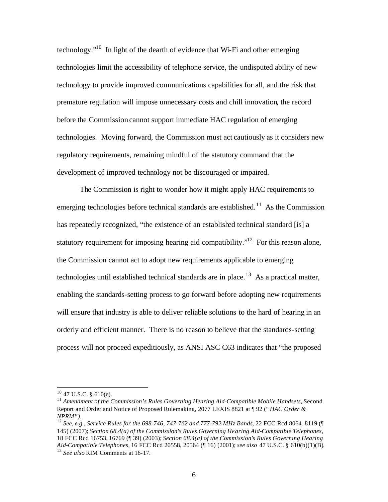technology. $10$  In light of the dearth of evidence that Wi-Fi and other emerging technologies limit the accessibility of telephone service, the undisputed ability of new technology to provide improved communications capabilities for all, and the risk that premature regulation will impose unnecessary costs and chill innovation, the record before the Commission cannot support immediate HAC regulation of emerging technologies. Moving forward, the Commission must act cautiously as it considers new regulatory requirements, remaining mindful of the statutory command that the development of improved technology not be discouraged or impaired.

The Commission is right to wonder how it might apply HAC requirements to emerging technologies before technical standards are established.<sup>11</sup> As the Commission has repeatedly recognized, "the existence of an established technical standard [is] a statutory requirement for imposing hearing aid compatibility."<sup>12</sup> For this reason alone, the Commission cannot act to adopt new requirements applicable to emerging technologies until established technical standards are in place.<sup>13</sup> As a practical matter, enabling the standards-setting process to go forward before adopting new requirements will ensure that industry is able to deliver reliable solutions to the hard of hearing in an orderly and efficient manner. There is no reason to believe that the standards-setting process will not proceed expeditiously, as ANSI ASC C63 indicates that "the proposed

 $10$  47 U.S.C. § 610(e).

<sup>&</sup>lt;sup>11</sup> Amendment of the Commission's Rules Governing Hearing Aid-Compatible Mobile Handsets, Second Report and Order and Notice of Proposed Rulemaking, 2077 LEXIS 8821 at ¶ 92 (" *HAC Order & NPRM").*

<sup>12</sup> *See, e.g., Service Rules for the 698-746, 747-762 and 777-792 MHz Bands*, 22 FCC Rcd 8064, 8119 (¶ 145) (2007); *Section 68.4(a) of the Commission's Rules Governing Hearing Aid-Compatible Telephones,*  18 FCC Rcd 16753, 16769 (¶ 39) (2003); *Section 68.4(a) of the Commission's Rules Governing Hearing Aid-Compatible Telephones,* 16 FCC Rcd 20558, 20564 (¶ 16) (2001); *see also* 47 U.S.C. § 610(b)(1)(B). <sup>13</sup> *See also* RIM Comments at 16-17.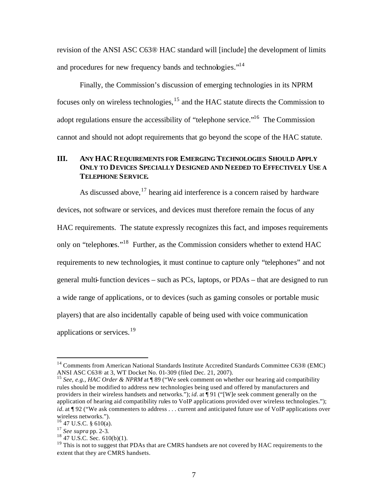revision of the ANSI ASC C63® HAC standard will [include] the development of limits and procedures for new frequency bands and technologies."<sup>14</sup>

Finally, the Commission's discussion of emerging technologies in its NPRM focuses only on wireless technologies,<sup>15</sup> and the HAC statute directs the Commission to adopt regulations ensure the accessibility of "telephone service."<sup>16</sup> The Commission cannot and should not adopt requirements that go beyond the scope of the HAC statute.

# **III. ANY HAC REQUIREMENTS FOR EMERGING TECHNOLOGIES SHOULD APPLY ONLY TO DEVICES SPECIALLY DESIGNED AND NEEDED TO EFFECTIVELY USE A TELEPHONE SERVICE.**

As discussed above,  $17$  hearing aid interference is a concern raised by hardware devices, not software or services, and devices must therefore remain the focus of any HAC requirements. The statute expressly recognizes this fact, and imposes requirements only on "telephones."<sup>18</sup> Further, as the Commission considers whether to extend HAC requirements to new technologies, it must continue to capture only "telephones" and not general multi-function devices – such as PCs, laptops, or PDAs – that are designed to run a wide range of applications, or to devices (such as gaming consoles or portable music players) that are also incidentally capable of being used with voice communication applications or services.<sup>19</sup>

<sup>&</sup>lt;sup>14</sup> Comments from American National Standards Institute Accredited Standards Committee C63® (EMC) ANSI ASC C63® at 3, WT Docket No. 01-309 (filed Dec. 21, 2007).

<sup>&</sup>lt;sup>15</sup> *See, e.g., HAC Order & NPRM* at ¶ 89 ("We seek comment on whether our hearing aid compatibility rules should be modified to address new technologies being used and offered by manufacturers and providers in their wireless handsets and networks."); *id.* at ¶ 91 ("[W]e seek comment generally on the application of hearing aid compatibility rules to VoIP applications provided over wireless technologies."); *id.* at ¶ 92 ("We ask commenters to address . . . current and anticipated future use of VoIP applications over wireless networks.").

 $16$  47 U.S.C. § 610(a).

<sup>17</sup> *See supra* pp. 2-3.

 $18$  47 U.S.C. Sec. 610(b)(1).

<sup>&</sup>lt;sup>19</sup> This is not to suggest that PDAs that are CMRS handsets are not covered by HAC requirements to the extent that they are CMRS handsets.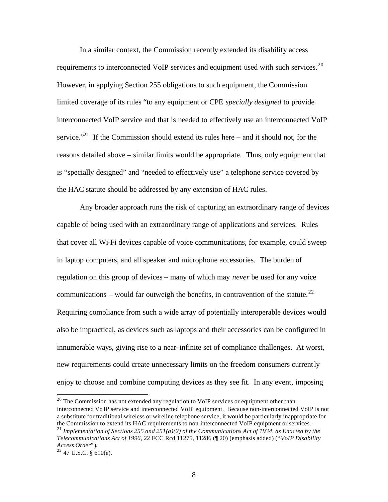In a similar context, the Commission recently extended its disability access requirements to interconnected VoIP services and equipment used with such services. $20$ However, in applying Section 255 obligations to such equipment, the Commission limited coverage of its rules "to any equipment or CPE *specially designed* to provide interconnected VoIP service and that is needed to effectively use an interconnected VoIP service."<sup>21</sup> If the Commission should extend its rules here  $-$  and it should not, for the reasons detailed above – similar limits would be appropriate. Thus, only equipment that is "specially designed" and "needed to effectively use" a telephone service covered by the HAC statute should be addressed by any extension of HAC rules.

Any broader approach runs the risk of capturing an extraordinary range of devices capable of being used with an extraordinary range of applications and services. Rules that cover all Wi-Fi devices capable of voice communications, for example, could sweep in laptop computers, and all speaker and microphone accessories. The burden of regulation on this group of devices – many of which may *never* be used for any voice communications – would far outweigh the benefits, in contravention of the statute.<sup>22</sup> Requiring compliance from such a wide array of potentially interoperable devices would also be impractical, as devices such as laptops and their accessories can be configured in innumerable ways, giving rise to a near-infinite set of compliance challenges. At worst, new requirements could create unnecessary limits on the freedom consumers currently enjoy to choose and combine computing devices as they see fit. In any event, imposing

 $20$  The Commission has not extended any regulation to VoIP services or equipment other than interconnected Vo IP service and interconnected VoIP equipment. Because non-interconnected VoIP is not a substitute for traditional wireless or wireline telephone service, it would be particularly inappropriate for the Commission to extend its HAC requirements to non-interconnected VoIP equipment or services. <sup>21</sup> Implementation of Sections 255 and 251(a)(2) of the Communications Act of 1934, as Enacted by the

*Telecommunications Act of 1996*, 22 FCC Rcd 11275, 11286 (¶ 20) (emphasis added) ("*VoIP Disability Access Order*").

 $22$  47 U.S.C. § 610(e).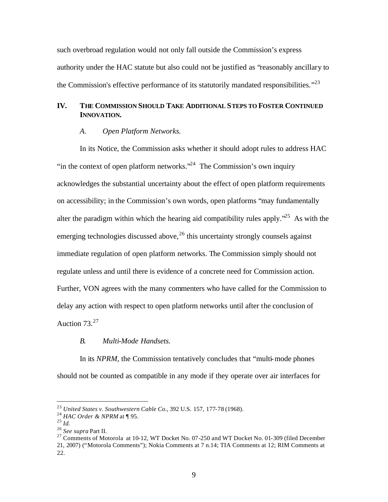such overbroad regulation would not only fall outside the Commission's express authority under the HAC statute but also could not be justified as "reasonably ancillary to the Commission's effective performance of its statutorily mandated responsibilities. $123$ 

# **IV. THE COMMISSION SHOULD TAKE ADDITIONAL STEPS TO FOSTER CONTINUED INNOVATION.**

#### *A. Open Platform Networks.*

In its Notice, the Commission asks whether it should adopt rules to address HAC "in the context of open platform networks."<sup>24</sup> The Commission's own inquiry acknowledges the substantial uncertainty about the effect of open platform requirements on accessibility; in the Commission's own words, open platforms "may fundamentally alter the paradigm within which the hearing aid compatibility rules apply.<sup> $25$ </sup> As with the emerging technologies discussed above,  $26$  this uncertainty strongly counsels against immediate regulation of open platform networks. The Commission simply should not regulate unless and until there is evidence of a concrete need for Commission action. Further, VON agrees with the many commenters who have called for the Commission to delay any action with respect to open platform networks until after the conclusion of Auction  $73.<sup>27</sup>$ 

#### *B. Multi-Mode Handsets.*

In its *NPRM*, the Commission tentatively concludes that "multi-mode phones should not be counted as compatible in any mode if they operate over air interfaces for

<sup>23</sup> *United States v. Southwestern Cable Co.*, 392 U.S. 157, 177-78 (1968).

<sup>24</sup> *HAC Order & NPRM* at ¶ 95.

<sup>25</sup> *Id.*

<sup>26</sup> *See supra* Part II.

<sup>&</sup>lt;sup>27</sup> Comments of Motorola at 10-12, WT Docket No. 07-250 and WT Docket No. 01-309 (filed December 21, 2007) ("Motorola Comments"); Nokia Comments at 7 n.14; TIA Comments at 12; RIM Comments at 22.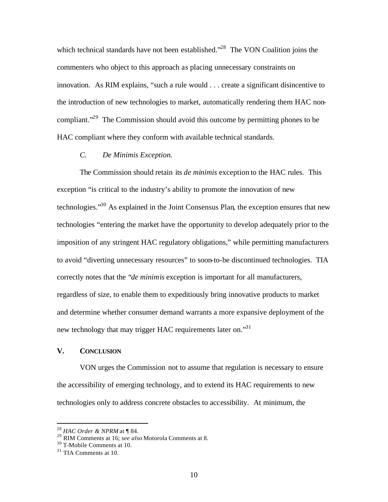which technical standards have not been established."<sup>28</sup> The VON Coalition joins the commenters who object to this approach as placing unnecessary constraints on innovation. As RIM explains, "such a rule would . . . create a significant disincentive to the introduction of new technologies to market, automatically rendering them HAC noncompliant."<sup>29</sup> The Commission should avoid this outcome by permitting phones to be HAC compliant where they conform with available technical standards.

### *C. De Minimis Exception.*

The Commission should retain its *de minimis* exception to the HAC rules. This exception "is critical to the industry's ability to promote the innovation of new technologies."<sup>30</sup> As explained in the Joint Consensus Plan, the exception ensures that new technologies "entering the market have the opportunity to develop adequately prior to the imposition of any stringent HAC regulatory obligations," while permitting manufacturers to avoid "diverting unnecessary resources" to soon-to-be discontinued technologies. TIA correctly notes that the "*de minimis* exception is important for all manufacturers, regardless of size, to enable them to expeditiously bring innovative products to market and determine whether consumer demand warrants a more expansive deployment of the new technology that may trigger HAC requirements later on."<sup>31</sup>

#### **V. CONCLUSION**

VON urges the Commission not to assume that regulation is necessary to ensure the accessibility of emerging technology, and to extend its HAC requirements to new technologies only to address concrete obstacles to accessibility. At minimum, the

<sup>28</sup> *HAC Order & NPRM* at ¶ 84.

<sup>29</sup> RIM Comments at 16; *see also* Motorola Comments at 8.

<sup>30</sup> T-Mobile Comments at 10.

 $31$  TIA Comments at 10.